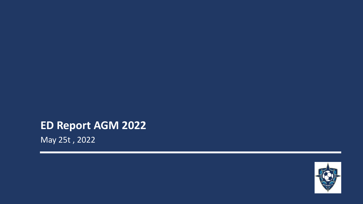# **ED Report AGM 2022**

May 25t , 2022

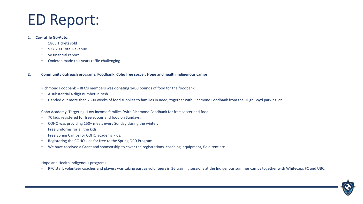#### 1. **Car-raffle Go-Auto.**

- 1863 Tickets sold
- \$37.200 Total Revenue
- Se financial report
- Omicron made this years raffle challenging
- **2. Community outreach programs. Foodbank, Coho free soccer, Hope and health Indigenous camps.**

Richmond Foodbank – RFC's members was donating 1400 pounds of food for the foodbank.

- A substantial 4 digit number in cash.
- Handed out more than 2500 weeks of food supplies to families in need, together with Richmond Foodbank from the Hugh Boyd parking lot.

Coho Academy, Targeting "Low income families "with Richmond Foodbank for free soccer and food.

- 70 kids registered for free soccer and food on Sundays.
- COHO was providing 150+ meals every Sunday during the winter.
- Free uniforms for all the kids.
- Free Spring Camps for COHO academy kids.
- Registering the COHO kids for free to the Spring OPD Program.
- We have received a Grant and sponsorship to cover the registrations, coaching, equipment, field rent etc.

Hope and Health Indigenous programs

• RFC staff, volunteer coaches and players was taking part as volunteers in 36 training sessions at the Indigenous summer camps together with Whitecaps FC and UBC.

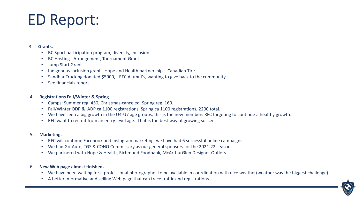### 3. **Grants.**

- BC Sport participation program, diversity, inclusion
- BC Hosting Arrangement, Tournament Grant
- Jump Start Grant
- Indigenous inclusion grant Hope and Health partnership Canadian Tire
- Sandhar Trucking donated \$5000,- RFC Alumni´s, wanting to give back to the community.
- See financials report.

## 4. **Registrations Fall/Winter & Spring.**

- Camps: Summer reg. 450, Christmas-canceled. Spring reg. 160.
- Fall/Winter ODP & ADP ca 1100 registrations, Spring ca 1100 registrations, 2200 total.
- We have seen a big growth in the U4-U7 age groups, this is the new members RFC targeting to continue a healthy growth.
- RFC want to recruit from an entry-level age. That is the best way of growing soccer.

## 5**. Marketing.**

- RFC will continue Facebook and Instagram marketing, we have had 6 successful online campaigns.
- We had Go-Auto, TGS & COHO Commissary as our general sponsors for the 2021-22 season.
- We partnered with Hope & Health, Richmond Foodbank, McArthurGlen Designer Outlets.

## 6. **New Web page almost finished.**

- We have been waiting for a professional photographer to be available in coordination with nice weather(weather was the biggest challenge).
- A better informative and selling Web page that can trace traffic and registrations.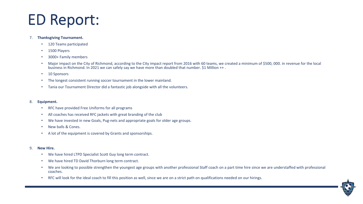#### 7. **Thanksgiving Tournament.**

- 120 Teams participated
- 1500 Players
- 3000+ Family members
- Major impact on the City of Richmond, according to the City impact report from 2016 with 60 teams, we created a minimum of \$500, 000. in revenue for the local business in Richmond. In 2021 we can safely say we have more than doubled that number. \$1 Million ++ .
- 10 Sponsors
- The longest consistent running soccer tournament in the lower mainland.
- Tania our Tournament Director did a fantastic job alongside with all the volunteers.

#### 8. **Equipment.**

- RFC have provided Free Uniforms for all programs
- All coaches has received RFC jackets with great branding of the club
- We have invested in new Goals, Pug-nets and appropriate goals for older age groups.
- New balls & Cones.
- A lot of the equipment is covered by Grants and sponsorships.

#### 9. **New Hire.**

- We have hired LTPD Specialist Scott Guy long term contract.
- We have hired TD David Thorburn long term contract.
- We are looking to possible strengthen the youngest age groups with another professional Staff coach on a part time hire since we are understaffed with professional coaches.
- RFC will look for the ideal coach to fill this position as well, since we are on a strict path on qualifications needed on our hirings.

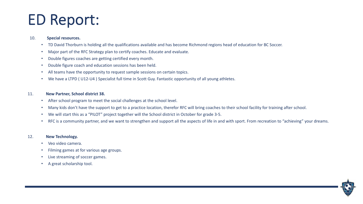#### 10. **Special resources.**

- TD David Thorburn is holding all the qualifications available and has become Richmond regions head of education for BC Soccer.
- Major part of the RFC Strategy plan to certify coaches. Educate and evaluate.
- Double figures coaches are getting certified every month.
- Double figure coach and education sessions has been held.
- All teams have the opportunity to request sample sessions on certain topics.
- We have a LTPD ( U12-U4 ) Specialist full time in Scott Guy. Fantastic opportunity of all young athletes.

### 11. **New Partner, School district 38.**

- After school program to meet the social challenges at the school level.
- Many kids don't have the support to get to a practice location, therefor RFC will bring coaches to their school facility for training after school.
- We will start this as a "PILOT" project together will the School district in October for grade 3-5.
- RFC is a community partner, and we want to strengthen and support all the aspects of life in and with sport. From recreation to "achieving" your dreams.

### 12. **New Technology.**

- Veo video camera.
- Filming games at for various age groups.
- Live streaming of soccer games.
- A great scholarship tool.

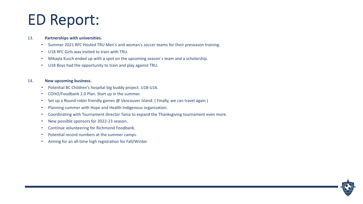#### 13. **Partnerships with universities.**

- Summer 2021 RFC Hosted TRU Men's and woman's soccer teams for their preseason training.
- U18 RFC Girls was invited to train with TRU.
- Mikayla Kusch ended up with a spot on the upcoming season´s team and a scholarship.
- U18 Boys had the opportunity to train and play against TRU.

### 14. **New upcoming business.**

- Potential BC Children's hospital big buddy project. U18-U16.
- COHO/Foodbank 2.0 Plan. Start up in the summer.
- Set up a Round-robin friendly games @ Vancouver Island. (Finally, we can travel again)
- Planning summer with Hope and Health Indigenous organization.
- Coordinating with Tournament director Tania to expand the Thanksgiving tournament even more.
- New possible sponsors for 2022-23 season.
- Continue volunteering for Richmond Foodbank.
- Potential record numbers at the summer camps.
- Aiming for an all-time high registration for Fall/Winter.